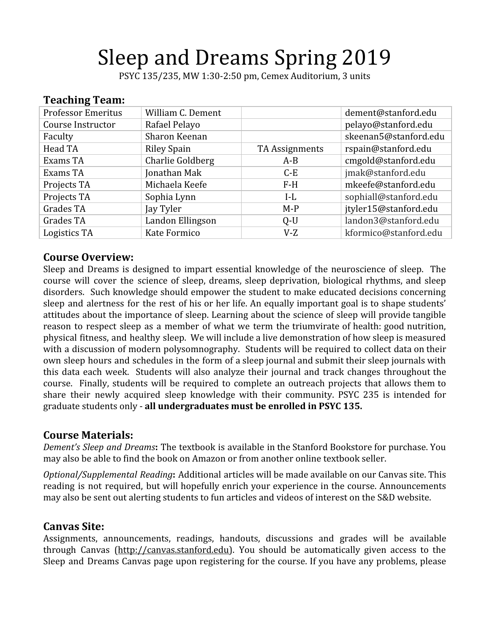# Sleep and Dreams Spring 2019

PSYC 135/235, MW 1:30-2:50 pm, Cemex Auditorium, 3 units

#### **Teaching Team:** Professor Emeritus William C. Dement dement dement dement dement dement dement dement dement definition of the t Course Instructor Rafael Pelayo pelayo@stanford.edu Faculty Sharon Keenan skeenan skeenan5@stanford.edu Head TA Riley Spain TA Assignments rspain@stanford.edu Exams TA Charlie Goldberg | A-B | cmgold@stanford.edu Exams TA Jonathan Mak C-E jmak@stanford.edu Projects TA Michaela Keefe F-H mkeefe@stanford.edu Projects TA Sophia Lynn I-L sophiall@stanford.edu Grades TA Jay Tyler June 15@stanford.edu Grades TA Landon Ellingson Q-U landon3@stanford.edu Logistics TA Kate Formico V-Z kformico@stanford.edu

#### **Course Overview:**

Sleep and Dreams is designed to impart essential knowledge of the neuroscience of sleep. The course will cover the science of sleep, dreams, sleep deprivation, biological rhythms, and sleep disorders. Such knowledge should empower the student to make educated decisions concerning sleep and alertness for the rest of his or her life. An equally important goal is to shape students' attitudes about the importance of sleep. Learning about the science of sleep will provide tangible reason to respect sleep as a member of what we term the triumvirate of health: good nutrition, physical fitness, and healthy sleep. We will include a live demonstration of how sleep is measured with a discussion of modern polysomnography. Students will be required to collect data on their own sleep hours and schedules in the form of a sleep journal and submit their sleep journals with this data each week. Students will also analyze their journal and track changes throughout the course. Finally, students will be required to complete an outreach projects that allows them to share their newly acquired sleep knowledge with their community. PSYC 235 is intended for graduate students only - **all undergraduates must be enrolled in PSYC 135.**

#### **Course Materials:**

*Dement's Sleep and Dreams***:** The textbook is available in the Stanford Bookstore for purchase. You may also be able to find the book on Amazon or from another online textbook seller.

*Optional/Supplemental Reading***:** Additional articles will be made available on our Canvas site. This reading is not required, but will hopefully enrich your experience in the course. Announcements may also be sent out alerting students to fun articles and videos of interest on the S&D website.

#### **Canvas Site:**

Assignments, announcements, readings, handouts, discussions and grades will be available through Canvas ([http://canvas.stanford.edu](http://coursework.stanford.edu/)). You should be automatically given access to the Sleep and Dreams Canvas page upon registering for the course. If you have any problems, please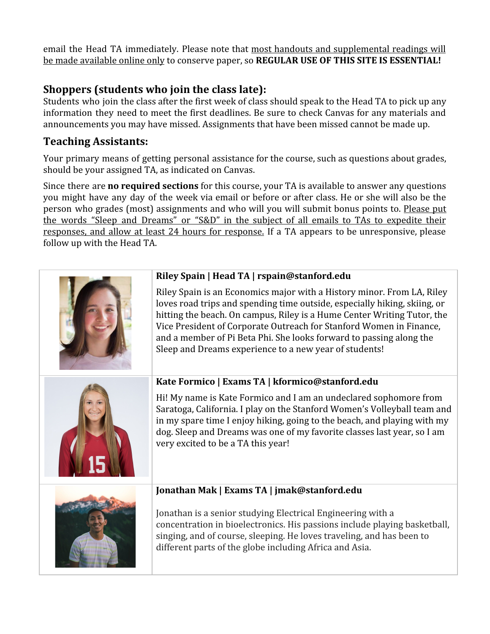email the Head TA immediately. Please note that most handouts and supplemental readings will be made available online only to conserve paper, so **REGULAR USE OF THIS SITE IS ESSENTIAL!**

## **Shoppers (students who join the class late):**

Students who join the class after the first week of class should speak to the Head TA to pick up any information they need to meet the first deadlines. Be sure to check Canvas for any materials and announcements you may have missed. Assignments that have been missed cannot be made up.

## **Teaching Assistants:**

Your primary means of getting personal assistance for the course, such as questions about grades, should be your assigned TA, as indicated on Canvas.

Since there are **no required sections** for this course, your TA is available to answer any questions you might have any day of the week via email or before or after class. He or she will also be the person who grades (most) assignments and who will you will submit bonus points to. Please put the words "Sleep and Dreams" or "S&D" in the subject of all emails to TAs to expedite their responses, and allow at least 24 hours for response. If a TA appears to be unresponsive, please follow up with the Head TA.

| Riley Spain   Head TA   rspain@stanford.edu                                                                                                                                                                                                                                                                                                                                                                                            |  |  |
|----------------------------------------------------------------------------------------------------------------------------------------------------------------------------------------------------------------------------------------------------------------------------------------------------------------------------------------------------------------------------------------------------------------------------------------|--|--|
| Riley Spain is an Economics major with a History minor. From LA, Riley<br>loves road trips and spending time outside, especially hiking, skiing, or<br>hitting the beach. On campus, Riley is a Hume Center Writing Tutor, the<br>Vice President of Corporate Outreach for Stanford Women in Finance,<br>and a member of Pi Beta Phi. She looks forward to passing along the<br>Sleep and Dreams experience to a new year of students! |  |  |
| Kate Formico   Exams TA   kformico@stanford.edu                                                                                                                                                                                                                                                                                                                                                                                        |  |  |
| Hi! My name is Kate Formico and I am an undeclared sophomore from<br>Saratoga, California. I play on the Stanford Women's Volleyball team and<br>in my spare time I enjoy hiking, going to the beach, and playing with my<br>dog. Sleep and Dreams was one of my favorite classes last year, so I am<br>very excited to be a TA this year!                                                                                             |  |  |
| Jonathan Mak   Exams TA   jmak@stanford.edu                                                                                                                                                                                                                                                                                                                                                                                            |  |  |
| Jonathan is a senior studying Electrical Engineering with a<br>concentration in bioelectronics. His passions include playing basketball,<br>singing, and of course, sleeping. He loves traveling, and has been to<br>different parts of the globe including Africa and Asia.                                                                                                                                                           |  |  |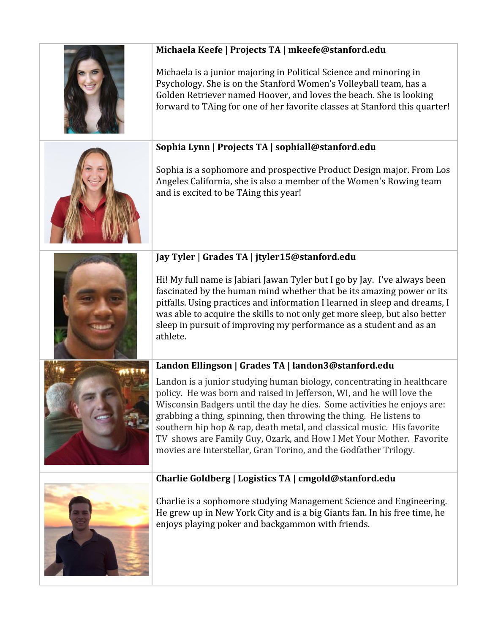| Michaela Keefe   Projects TA   mkeefe@stanford.edu<br>Michaela is a junior majoring in Political Science and minoring in<br>Psychology. She is on the Stanford Women's Volleyball team, has a<br>Golden Retriever named Hoover, and loves the beach. She is looking<br>forward to TAing for one of her favorite classes at Stanford this quarter!                                                                                                                                                                     |
|-----------------------------------------------------------------------------------------------------------------------------------------------------------------------------------------------------------------------------------------------------------------------------------------------------------------------------------------------------------------------------------------------------------------------------------------------------------------------------------------------------------------------|
| Sophia Lynn   Projects TA   sophiall@stanford.edu<br>Sophia is a sophomore and prospective Product Design major. From Los<br>Angeles California, she is also a member of the Women's Rowing team<br>and is excited to be TAing this year!                                                                                                                                                                                                                                                                             |
| Jay Tyler   Grades TA   jtyler15@stanford.edu<br>Hi! My full name is Jabiari Jawan Tyler but I go by Jay. I've always been<br>fascinated by the human mind whether that be its amazing power or its<br>pitfalls. Using practices and information I learned in sleep and dreams, I<br>was able to acquire the skills to not only get more sleep, but also better<br>sleep in pursuit of improving my performance as a student and as an<br>athlete.                                                                    |
| Landon Ellingson   Grades TA   landon3@stanford.edu                                                                                                                                                                                                                                                                                                                                                                                                                                                                   |
| Landon is a junior studying human biology, concentrating in healthcare<br>policy. He was born and raised in Jefferson, WI, and he will love the<br>Wisconsin Badgers until the day he dies. Some activities he enjoys are:<br>grabbing a thing, spinning, then throwing the thing. He listens to<br>southern hip hop & rap, death metal, and classical music. His favorite<br>TV shows are Family Guy, Ozark, and How I Met Your Mother. Favorite<br>movies are Interstellar, Gran Torino, and the Godfather Trilogy. |
| Charlie Goldberg   Logistics TA   cmgold@stanford.edu                                                                                                                                                                                                                                                                                                                                                                                                                                                                 |
| Charlie is a sophomore studying Management Science and Engineering.<br>He grew up in New York City and is a big Giants fan. In his free time, he<br>enjoys playing poker and backgammon with friends.                                                                                                                                                                                                                                                                                                                 |
|                                                                                                                                                                                                                                                                                                                                                                                                                                                                                                                       |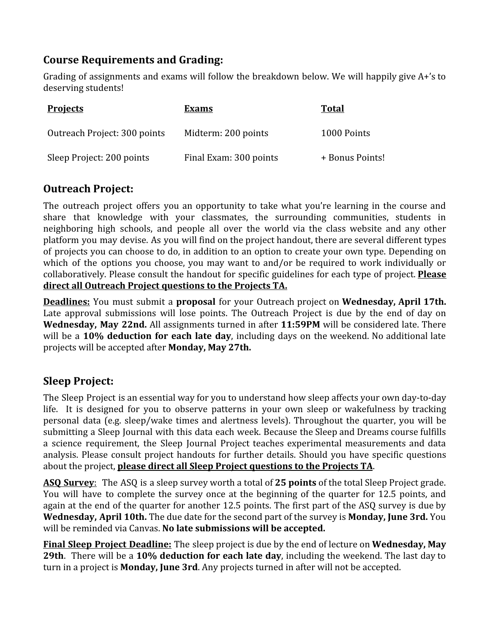## **Course Requirements and Grading:**

Grading of assignments and exams will follow the breakdown below. We will happily give A+'s to deserving students!

| <b>Projects</b>              | <b>Exams</b>           | <b>Total</b>    |
|------------------------------|------------------------|-----------------|
| Outreach Project: 300 points | Midterm: 200 points    | 1000 Points     |
| Sleep Project: 200 points    | Final Exam: 300 points | + Bonus Points! |

#### **Outreach Project:**

The outreach project offers you an opportunity to take what you're learning in the course and share that knowledge with your classmates, the surrounding communities, students in neighboring high schools, and people all over the world via the class website and any other platform you may devise. As you will find on the project handout, there are several different types of projects you can choose to do, in addition to an option to create your own type. Depending on which of the options you choose, you may want to and/or be required to work individually or collaboratively. Please consult the handout for specific guidelines for each type of project. **Please direct all Outreach Project questions to the Projects TA.**

**Deadlines:** You must submit a **proposal** for your Outreach project on **Wednesday, April 17th.** Late approval submissions will lose points. The Outreach Project is due by the end of day on **Wednesday, May 22nd.** All assignments turned in after **11:59PM** will be considered late. There will be a **10% deduction for each late day**, including days on the weekend. No additional late projects will be accepted after **Monday, May 27th.**

## **Sleep Project:**

The Sleep Project is an essential way for you to understand how sleep affects your own day-to-day life. It is designed for you to observe patterns in your own sleep or wakefulness by tracking personal data (e.g. sleep/wake times and alertness levels). Throughout the quarter, you will be submitting a Sleep Journal with this data each week. Because the Sleep and Dreams course fulfills a science requirement, the Sleep Journal Project teaches experimental measurements and data analysis. Please consult project handouts for further details. Should you have specific questions about the project, **please direct all Sleep Project questions to the Projects TA**.

**ASQ Survey**: The ASQ is a sleep survey worth a total of **25 points** of the total Sleep Project grade. You will have to complete the survey once at the beginning of the quarter for 12.5 points, and again at the end of the quarter for another 12.5 points. The first part of the ASQ survey is due by **Wednesday, April 10th.** The due date for the second part of the survey is **Monday, June 3rd.** You will be reminded via Canvas. **No late submissions will be accepted.**

**Final Sleep Project Deadline:** The sleep project is due by the end of lecture on **Wednesday, May 29th**. There will be a **10% deduction for each late day**, including the weekend. The last day to turn in a project is **Monday, June 3rd**. Any projects turned in after will not be accepted.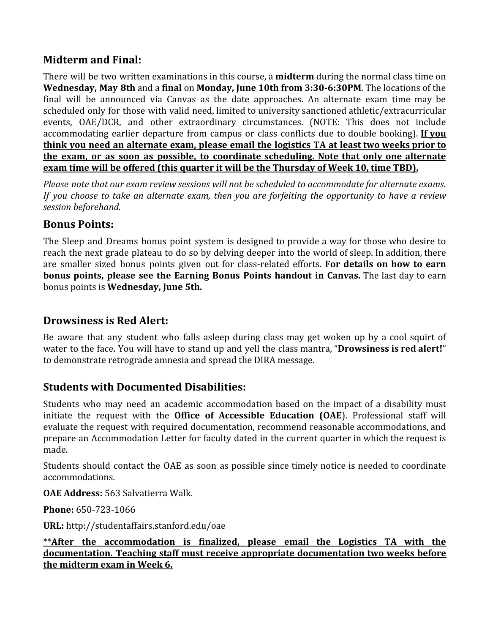#### **Midterm and Final:**

There will be two written examinations in this course, a **midterm** during the normal class time on **Wednesday, May 8th** and a **final** on **Monday, June 10th from 3:30-6:30PM**. The locations of the final will be announced via Canvas as the date approaches. An alternate exam time may be scheduled only for those with valid need, limited to university sanctioned athletic/extracurricular events, OAE/DCR, and other extraordinary circumstances. (NOTE: This does not include accommodating earlier departure from campus or class conflicts due to double booking). **If you think you need an alternate exam, please email the logistics TA at least two weeks prior to the exam, or as soon as possible, to coordinate scheduling. Note that only one alternate exam time will be offered (this quarter it will be the Thursday of Week 10, time TBD).**

*Please note that our exam review sessions will not be scheduled to accommodate for alternate exams. If you choose to take an alternate exam, then you are forfeiting the opportunity to have a review session beforehand.*

#### **Bonus Points:**

The Sleep and Dreams bonus point system is designed to provide a way for those who desire to reach the next grade plateau to do so by delving deeper into the world of sleep. In addition, there are smaller sized bonus points given out for class-related efforts. **For details on how to earn bonus points, please see the Earning Bonus Points handout in Canvas.** The last day to earn bonus points is **Wednesday, June 5th.**

#### **Drowsiness is Red Alert:**

Be aware that any student who falls asleep during class may get woken up by a cool squirt of water to the face. You will have to stand up and yell the class mantra, "**Drowsiness is red alert!**" to demonstrate retrograde amnesia and spread the DIRA message.

#### **Students with Documented Disabilities:**

Students who may need an academic accommodation based on the impact of a disability must initiate the request with the **Office of Accessible Education (OAE**). Professional staff will evaluate the request with required documentation, recommend reasonable accommodations, and prepare an Accommodation Letter for faculty dated in the current quarter in which the request is made.

Students should contact the OAE as soon as possible since timely notice is needed to coordinate accommodations.

**OAE Address:** 563 Salvatierra Walk.

**Phone:** 650-723-1066

**URL:** <http://studentaffairs.stanford.edu/oae>

\*\***After the accommodation is finalized, please email the Logistics TA with the documentation. Teaching staff must receive appropriate documentation two weeks before the midterm exam in Week 6.**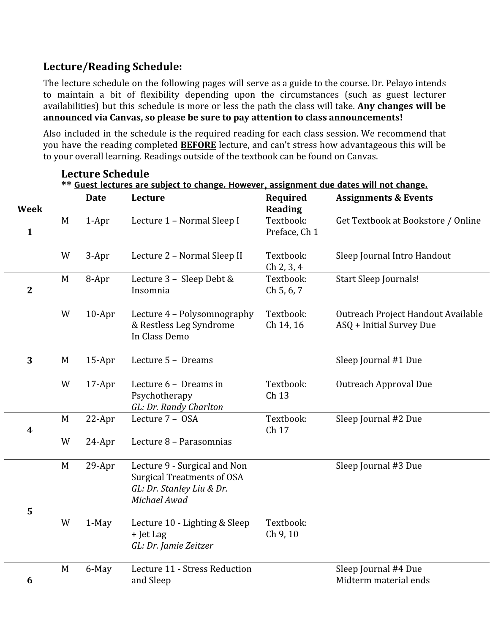## **Lecture/Reading Schedule:**

**Lecture Schedule**

The lecture schedule on the following pages will serve as a guide to the course. Dr. Pelayo intends to maintain a bit of flexibility depending upon the circumstances (such as guest lecturer availabilities) but this schedule is more or less the path the class will take. **Any changes will be announced via Canvas, so please be sure to pay attention to class announcements!**

Also included in the schedule is the required reading for each class session. We recommend that you have the reading completed **BEFORE** lecture, and can't stress how advantageous this will be to your overall learning. Readings outside of the textbook can be found on Canvas.

|                | ** Guest lectures are subject to change. However, assignment due dates will not change. |             |                                                                                                                |                            |                                                                |  |
|----------------|-----------------------------------------------------------------------------------------|-------------|----------------------------------------------------------------------------------------------------------------|----------------------------|----------------------------------------------------------------|--|
| <b>Week</b>    |                                                                                         | <b>Date</b> | Lecture                                                                                                        | Required<br><b>Reading</b> | <b>Assignments &amp; Events</b>                                |  |
| $\mathbf{1}$   | M                                                                                       | $1-Apr$     | Lecture 1 - Normal Sleep I                                                                                     | Textbook:<br>Preface, Ch 1 | Get Textbook at Bookstore / Online                             |  |
|                | W                                                                                       | 3-Apr       | Lecture 2 - Normal Sleep II                                                                                    | Textbook:<br>Ch 2, 3, 4    | Sleep Journal Intro Handout                                    |  |
| $\overline{2}$ | $M_{\odot}$                                                                             | 8-Apr       | Lecture 3 - Sleep Debt &<br>Insomnia                                                                           | Textbook:<br>Ch 5, 6, 7    | Start Sleep Journals!                                          |  |
|                | W                                                                                       | $10-Apr$    | Lecture 4 - Polysomnography<br>& Restless Leg Syndrome<br>In Class Demo                                        | Textbook:<br>Ch 14, 16     | Outreach Project Handout Available<br>ASQ + Initial Survey Due |  |
| 3              | M                                                                                       | $15-Apr$    | Lecture 5 - Dreams                                                                                             |                            | Sleep Journal #1 Due                                           |  |
|                | W                                                                                       | $17$ -Apr   | Lecture 6 - Dreams in<br>Psychotherapy<br>GL: Dr. Randy Charlton                                               | Textbook:<br>Ch 13         | Outreach Approval Due                                          |  |
| 4              | M                                                                                       | 22-Apr      | Lecture 7 - OSA                                                                                                | Textbook:<br>Ch 17         | Sleep Journal #2 Due                                           |  |
|                | W                                                                                       | 24-Apr      | Lecture 8 - Parasomnias                                                                                        |                            |                                                                |  |
| 5              | M                                                                                       | 29-Apr      | Lecture 9 - Surgical and Non<br><b>Surgical Treatments of OSA</b><br>GL: Dr. Stanley Liu & Dr.<br>Michael Awad |                            | Sleep Journal #3 Due                                           |  |
|                | W                                                                                       | $1-May$     | Lecture 10 - Lighting & Sleep<br>+ Jet Lag<br>GL: Dr. Jamie Zeitzer                                            | Textbook:<br>Ch 9, 10      |                                                                |  |
| 6              | M                                                                                       | 6-May       | Lecture 11 - Stress Reduction<br>and Sleep                                                                     |                            | Sleep Journal #4 Due<br>Midterm material ends                  |  |